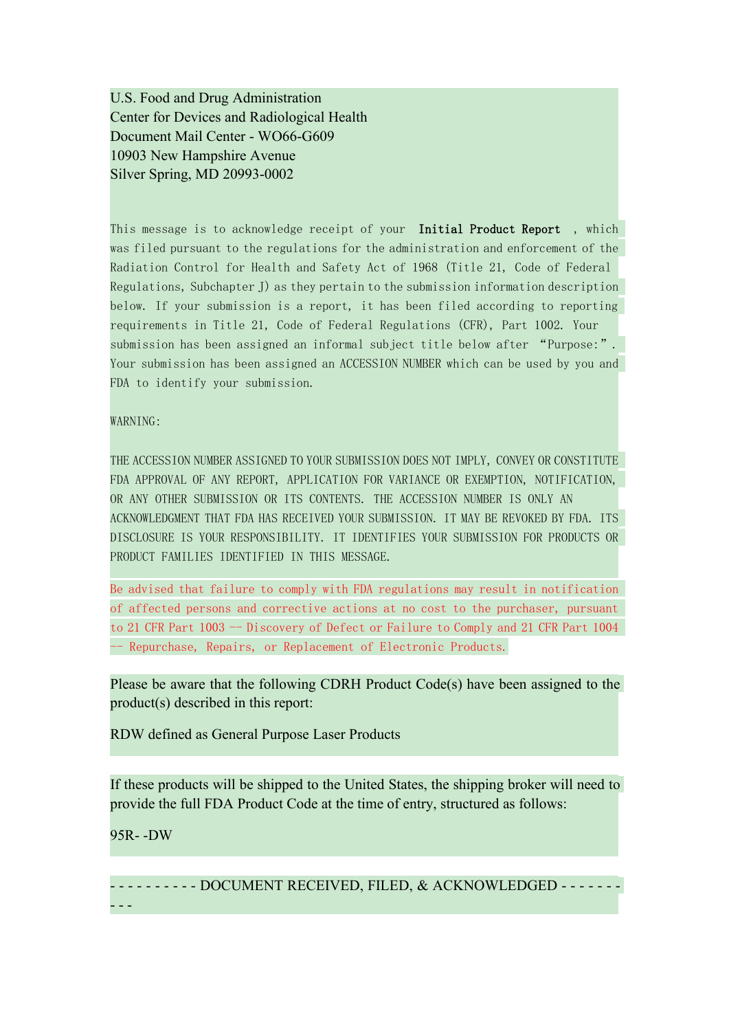U.S. Food and Drug Administration Center for Devices and Radiological Health Document Mail Center - WO66-G609 10903 New Hampshire Avenue Silver Spring, MD 20993-0002

This message is to acknowledge receipt of your Initial Product Report, which was filed pursuant to the regulations for the administration and enforcement of the Radiation Control for Health and Safety Act of 1968 (Title 21, Code of Federal Regulations, Subchapter J) as they pertain to the submission information description below. If your submission is a report, it has been filed according to reporting requirements in Title 21, Code of Federal Regulations (CFR), Part 1002. Your submission has been assigned an informal subject title below after "Purpose:". Your submission has been assigned an ACCESSION NUMBER which can be used by you and FDA to identify your submission.

## WARNING:

THE ACCESSION NUMBER ASSIGNED TO YOUR SUBMISSION DOES NOT IMPLY, CONVEY OR CONSTITUTE FDA APPROVAL OF ANY REPORT, APPLICATION FOR VARIANCE OR EXEMPTION, NOTIFICATION, OR ANY OTHER SUBMISSION OR ITS CONTENTS. THE ACCESSION NUMBER IS ONLY AN ACKNOWLEDGMENT THAT FDA HAS RECEIVED YOUR SUBMISSION. IT MAY BE REVOKED BY FDA. ITS DISCLOSURE IS YOUR RESPONSIBILITY. IT IDENTIFIES YOUR SUBMISSION FOR PRODUCTS OR PRODUCT FAMILIES IDENTIFIED IN THIS MESSAGE.

Be advised that failure to comply with FDA regulations may result in notification of affected persons and corrective actions at no cost to the purchaser, pursuant to 21 CFR Part 1003 -- Discovery of Defect or Failure to Comply and 21 CFR Part 1004 -- Repurchase, Repairs, or Replacement of Electronic Products.

Please be aware that the following CDRH Product Code(s) have been assigned to the product(s) described in this report:

RDW defined as General Purpose Laser Products

If these products will be shipped to the United States, the shipping broker will need to provide the full FDA Product Code at the time of entry, structured as follows:

## 95R- -DW

- - - - - - - - - - DOCUMENT RECEIVED, FILED, & ACKNOWLEDGED - - - - - - - - - -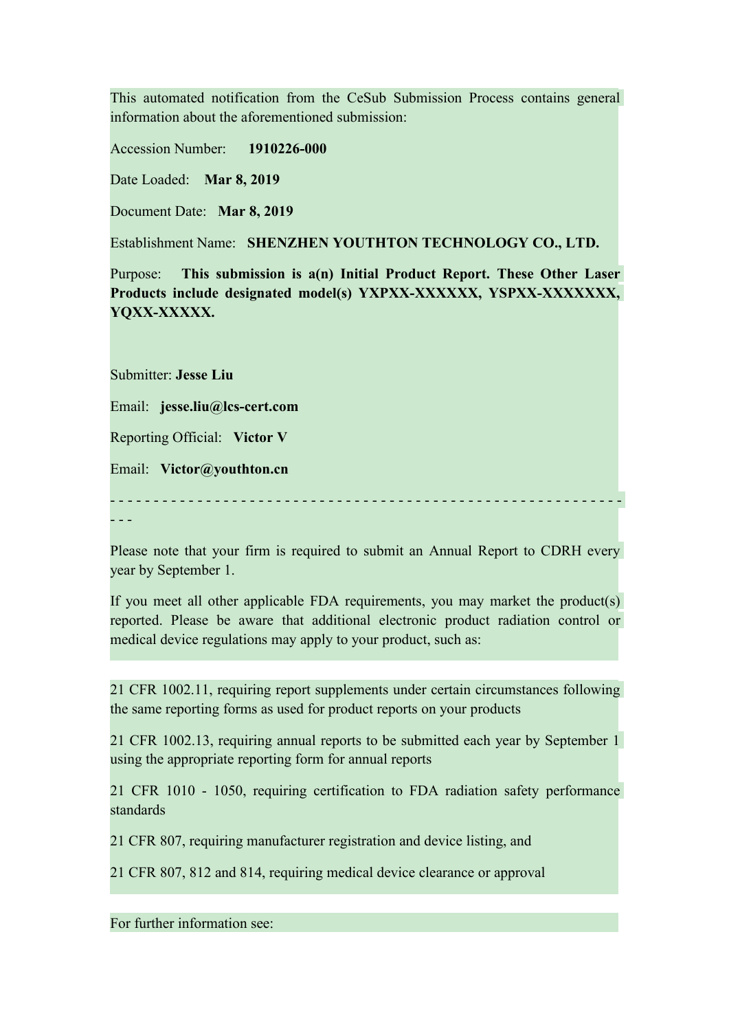This automated notification from the CeSub Submission Process contains general information about the aforementioned submission:

Accession Number: **1910226-000**

Date Loaded: **Mar 8, 2019**

Document Date: **Mar 8, 2019**

Establishment Name: **SHENZHEN YOUTHTON TECHNOLOGY CO., LTD.**

Purpose: **This submission is a(n) Initial Product Report. These Other Laser Products include designated model(s) YXPXX-XXXXXX, YSPXX-XXXXXXX, YQXX-XXXXX.**

Submitter: **Jesse Liu**

Email: **jesse.liu@lcs-cert.com**

Reporting Official: **Victor V**

Email: **Victor@youthton.cn**

- - - - - - - - - - - - - - - - - - - - - - - - - - - - - - - - - - - - - - - - - - - - - - - - - - - - - - - - - - - - - -

Please note that your firm is required to submit an Annual Report to CDRH every year by September 1.

If you meet all other applicable FDA requirements, you may market the product(s) reported. Please be aware that additional electronic product radiation control or medical device regulations may apply to your product, such as:

21 CFR 1002.11, requiring report supplements under certain circumstances following the same reporting forms as used for product reports on your products

21 CFR 1002.13, requiring annual reports to be submitted each year by September 1 using the appropriate reporting form for annual reports

21 CFR 1010 - 1050, requiring certification to FDA radiation safety performance standards

21 CFR 807, requiring manufacturer registration and device listing, and

21 CFR 807, 812 and 814, requiring medical device clearance or approval